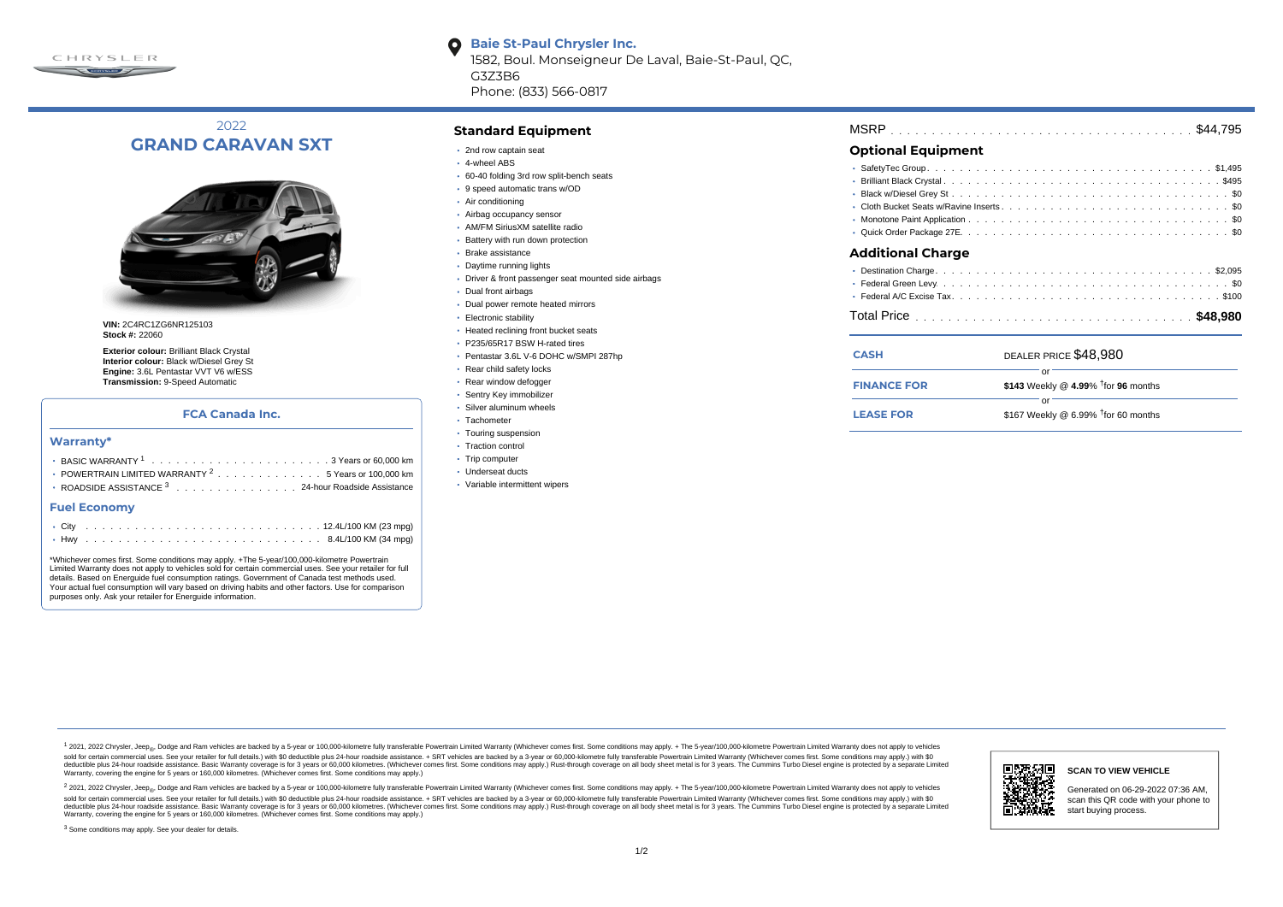

2022 **GRAND CARAVAN SXT**



**VIN:** 2C4RC1ZG6NR125103 **Stock #:** 22060

**Exterior colour:** Brilliant Black Crystal **Interior colour:** Black w/Diesel Grey St **Engine:** 3.6L Pentastar VVT V6 w/ESS **Transmission:** 9-Speed Automatic

## **FCA Canada Inc.**

### **Warranty\***

| <b>• POWERTRAIN LIMITED WARRANTY <math>^{2}</math>, , , , , , , , , , , , , , 5 Years or 100.000 km</b> |
|---------------------------------------------------------------------------------------------------------|
| • ROADSIDE ASSISTANCE 3 24-hour Roadside Assistance                                                     |

#### **Fuel Economy**

\*Whichever comes first. Some conditions may apply. +The 5-year/100,000-kilometre Powertrain Limited Warranty does not apply to vehicles sold for certain commercial uses. See your retailer for full details. Based on Energuide fuel consumption ratings. Government of Canada test methods used. Your actual fuel consumption will vary based on driving habits and other factors. Use for comparison purposes only. Ask your retailer for Energuide information.

## **Standard Equipment**

• 2nd row captain seat

G3Z3B6

 $\bullet$ 

- 4-wheel ABS
- 60-40 folding 3rd row split-bench seats

Phone: (833) 566-0817

**Baie St-Paul Chrysler Inc.**

1582, Boul. Monseigneur De Laval, Baie-St-Paul, QC,

- 9 speed automatic trans w/OD
- Air conditioning
- Airbag occupancy sensor
- AM/FM SiriusXM satellite radio
- Battery with run down protection
- Brake assistance
- Daytime running lights
- Driver & front passenger seat mounted side airbags
- Dual front airbags
- Dual power remote heated mirrors
- Electronic stability
- Heated reclining front bucket seats
- P235/65R17 BSW H-rated tires
- Pentastar 3.6L V-6 DOHC w/SMPI 287hp
- Rear child safety locks
- Rear window defogger
- Sentry Key immobilizer
- Silver aluminum wheels
- · Tachometer
- Touring suspension
- Traction control
- Trip computer
- Underseat ducts
- Variable intermittent wipers

| <b>MSRP</b> |  |  |  |
|-------------|--|--|--|
|-------------|--|--|--|

## **Optional Equipment**

| <b>Additional Charge</b> |
|--------------------------|
|                          |
|                          |
|                          |
|                          |
|                          |
|                          |

| <b>CASH</b>        | DEALER PRICE \$48,980                  |  |  |  |  |  |  |  |  |  |
|--------------------|----------------------------------------|--|--|--|--|--|--|--|--|--|
| <b>FINANCE FOR</b> | \$143 Weekly @ 4.99% $†$ for 96 months |  |  |  |  |  |  |  |  |  |
| <b>LEASE FOR</b>   | \$167 Weekly @ 6.99% $†$ for 60 months |  |  |  |  |  |  |  |  |  |

1 2021, 2022 Chrysler, Jeep.... Dodge and Ram vehicles are backed by a 5-year or 100,000-kilometre fully transferable Powertrain Limited Warranty (Whichever comes first. Some conditions may apply. + The 5-year/100,000-kilo sold for certain commercial uses. See your retailer for full details) with \$0 deductible plus 24-hour madside assistance. + SRT vehicles are backed by a 3-year or 60.000-kilometre fully transferable Powertrain Limited Warr detuctible plus 24-hour roadside assistance. Basic Warranty coverage is for 3 years or 60,000 kilometres. Whichever comes first. Some conditions may apply.) Rust-through coverage on all body sheet metals for 3 years. The C Warranty, covering the engine for 5 years or 160,000 kilometres. (Whichever comes first. Some conditions may apply.)

<sup>2</sup> 2021, 2022 Chrysler, Jeep<sub>®</sub>, Dodge and Ram vehicles are backed by a 5-year or 100,000-kilometre fully transferable Powertrain Limited Warranty (Whichever comes first. Some conditions may apply. + The 5-year/100,000-ki sold for certain commercial uses. See your retailer for full details.) with \$0 deductible plus 24-hour roadside assistance. + SRT vehicles are backed by a 3-year or 60.000-kilometre fully transferable Powertrain Limited Wa deductible plus 24-hour roadside assistance. Basic Warranty coverage is for 3 years or 60,000 kilometres. (Whichever comes first. Some conditions may apply.) Rust-through coverage on all body sheet metal is for 3 years. Th



### **SCAN TO VIEW VEHICLE**

Generated on 06-29-2022 07:36 AM, scan this QR code with your phone to start buying process.

<sup>3</sup> Some conditions may apply. See your dealer for details.